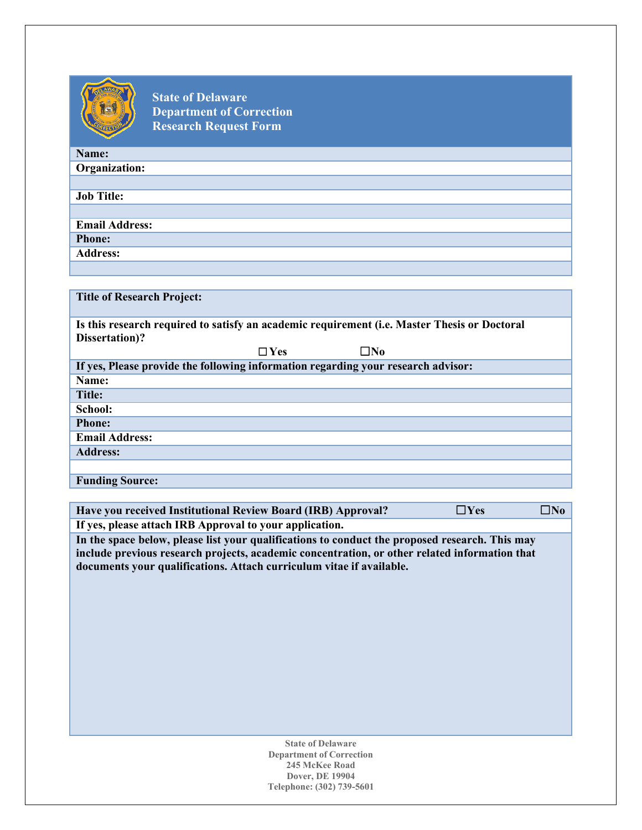

**State of Delaware Department of Correction Research Request Form**

| Name:                 |
|-----------------------|
| Organization:         |
|                       |
| <b>Job Title:</b>     |
|                       |
| <b>Email Address:</b> |
| <b>Phone:</b>         |
| Address:              |
|                       |

| <b>Title of Research Project:</b>                                                            |               |              |  |  |
|----------------------------------------------------------------------------------------------|---------------|--------------|--|--|
|                                                                                              |               |              |  |  |
| Is this research required to satisfy an academic requirement (i.e. Master Thesis or Doctoral |               |              |  |  |
| Dissertation)?                                                                               |               |              |  |  |
|                                                                                              | $\square$ Yes | $\square$ No |  |  |
| If yes, Please provide the following information regarding your research advisor:            |               |              |  |  |
| Name:                                                                                        |               |              |  |  |
| <b>Title:</b>                                                                                |               |              |  |  |
| School:                                                                                      |               |              |  |  |
| <b>Phone:</b>                                                                                |               |              |  |  |
| <b>Email Address:</b>                                                                        |               |              |  |  |
| <b>Address:</b>                                                                              |               |              |  |  |
|                                                                                              |               |              |  |  |
| <b>Funding Source:</b>                                                                       |               |              |  |  |

| Have you received Institutional Review Board (IRB) Approval?                                                                                                                                                                                                            | $\square$ Yes | $\square$ No |  |  |  |
|-------------------------------------------------------------------------------------------------------------------------------------------------------------------------------------------------------------------------------------------------------------------------|---------------|--------------|--|--|--|
| If yes, please attach IRB Approval to your application.                                                                                                                                                                                                                 |               |              |  |  |  |
| In the space below, please list your qualifications to conduct the proposed research. This may<br>include previous research projects, academic concentration, or other related information that<br>documents your qualifications. Attach curriculum vitae if available. |               |              |  |  |  |
| <b>State of Delaware</b>                                                                                                                                                                                                                                                |               |              |  |  |  |
| <b>Department of Correction</b><br>245 McKee Road                                                                                                                                                                                                                       |               |              |  |  |  |
| <b>Dover, DE 19904</b>                                                                                                                                                                                                                                                  |               |              |  |  |  |

**Telephone: (302) 739-5601**